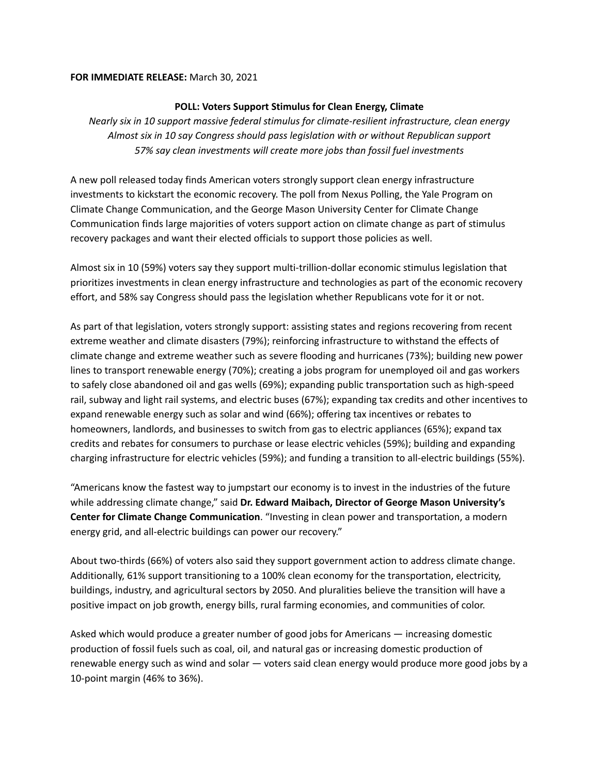## **FOR IMMEDIATE RELEASE:** March 30, 2021

## **POLL: Voters Support Stimulus for Clean Energy, Climate**

*Nearly six in 10 support massive federal stimulus for climate-resilient infrastructure, clean energy Almost six in 10 say Congress should pass legislation with or without Republican support 57% say clean investments will create more jobs than fossil fuel investments*

A new poll released today finds American voters strongly support clean energy infrastructure investments to kickstart the economic recovery. The poll from Nexus Polling, the Yale Program on Climate Change Communication, and the George Mason University Center for Climate Change Communication finds large majorities of voters support action on climate change as part of stimulus recovery packages and want their elected officials to support those policies as well.

Almost six in 10 (59%) voters say they support multi-trillion-dollar economic stimulus legislation that prioritizes investments in clean energy infrastructure and technologies as part of the economic recovery effort, and 58% say Congress should pass the legislation whether Republicans vote for it or not.

As part of that legislation, voters strongly support: assisting states and regions recovering from recent extreme weather and climate disasters (79%); reinforcing infrastructure to withstand the effects of climate change and extreme weather such as severe flooding and hurricanes (73%); building new power lines to transport renewable energy (70%); creating a jobs program for unemployed oil and gas workers to safely close abandoned oil and gas wells (69%); expanding public transportation such as high-speed rail, subway and light rail systems, and electric buses (67%); expanding tax credits and other incentives to expand renewable energy such as solar and wind (66%); offering tax incentives or rebates to homeowners, landlords, and businesses to switch from gas to electric appliances (65%); expand tax credits and rebates for consumers to purchase or lease electric vehicles (59%); building and expanding charging infrastructure for electric vehicles (59%); and funding a transition to all-electric buildings (55%).

"Americans know the fastest way to jumpstart our economy is to invest in the industries of the future while addressing climate change," said **Dr. Edward Maibach, Director of George Mason University's Center for Climate Change Communication**. "Investing in clean power and transportation, a modern energy grid, and all-electric buildings can power our recovery."

About two-thirds (66%) of voters also said they support government action to address climate change. Additionally, 61% support transitioning to a 100% clean economy for the transportation, electricity, buildings, industry, and agricultural sectors by 2050. And pluralities believe the transition will have a positive impact on job growth, energy bills, rural farming economies, and communities of color.

Asked which would produce a greater number of good jobs for Americans — increasing domestic production of fossil fuels such as coal, oil, and natural gas or increasing domestic production of renewable energy such as wind and solar — voters said clean energy would produce more good jobs by a 10-point margin (46% to 36%).